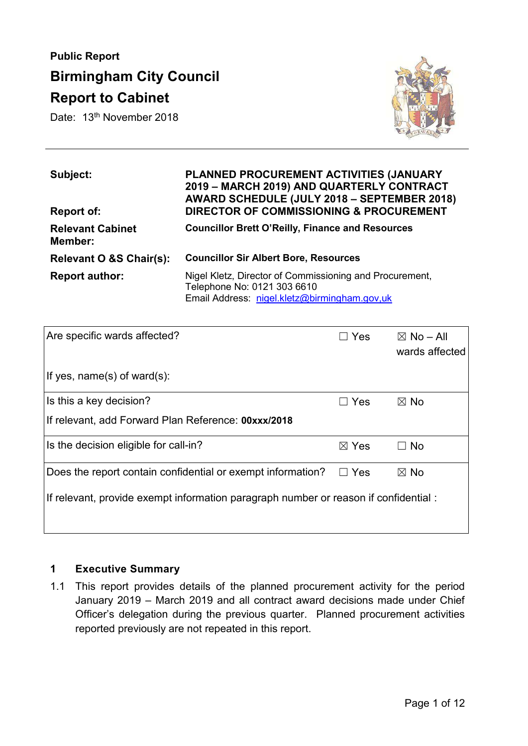# **Public Report Birmingham City Council Report to Cabinet**

Date: 13<sup>th</sup> November 2018



| Subject:<br>Report of:             | PLANNED PROCUREMENT ACTIVITIES (JANUARY<br>2019 - MARCH 2019) AND QUARTERLY CONTRACT<br>AWARD SCHEDULE (JULY 2018 - SEPTEMBER 2018)<br><b>DIRECTOR OF COMMISSIONING &amp; PROCUREMENT</b> |
|------------------------------------|-------------------------------------------------------------------------------------------------------------------------------------------------------------------------------------------|
| <b>Relevant Cabinet</b><br>Member: | <b>Councillor Brett O'Reilly, Finance and Resources</b>                                                                                                                                   |
| Relevant O &S Chair(s):            | <b>Councillor Sir Albert Bore, Resources</b>                                                                                                                                              |
| <b>Report author:</b>              | Nigel Kletz, Director of Commissioning and Procurement,<br>Telephone No: 0121 303 6610<br>Email Address: nigel.kletz@birmingham.gov,uk                                                    |

| Are specific wards affected?                                                        | Yes             | $\boxtimes$ No – All<br>wards affected |
|-------------------------------------------------------------------------------------|-----------------|----------------------------------------|
| If yes, name(s) of ward(s):                                                         |                 |                                        |
| Is this a key decision?                                                             | $\Box$ Yes      | $\boxtimes$ No                         |
| If relevant, add Forward Plan Reference: 00xxx/2018                                 |                 |                                        |
| Is the decision eligible for call-in?                                               | $\boxtimes$ Yes | $\Box$ No                              |
| Does the report contain confidential or exempt information?                         | <b>Yes</b>      | $\boxtimes$ No                         |
| If relevant, provide exempt information paragraph number or reason if confidential: |                 |                                        |

#### **1 Executive Summary**

1.1 This report provides details of the planned procurement activity for the period January 2019 – March 2019 and all contract award decisions made under Chief Officer's delegation during the previous quarter. Planned procurement activities reported previously are not repeated in this report.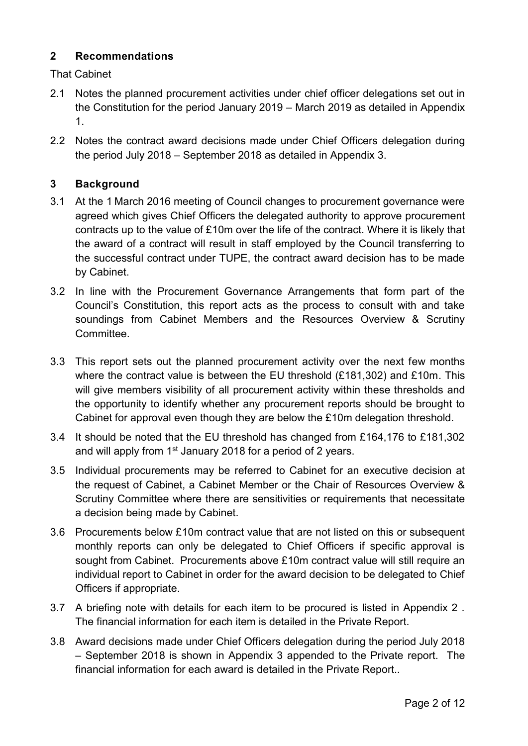#### **2 Recommendations**

That Cabinet

- 2.1 Notes the planned procurement activities under chief officer delegations set out in the Constitution for the period January 2019 – March 2019 as detailed in Appendix 1.
- 2.2 Notes the contract award decisions made under Chief Officers delegation during the period July 2018 – September 2018 as detailed in Appendix 3.

## **3 Background**

- 3.1 At the 1 March 2016 meeting of Council changes to procurement governance were agreed which gives Chief Officers the delegated authority to approve procurement contracts up to the value of £10m over the life of the contract. Where it is likely that the award of a contract will result in staff employed by the Council transferring to the successful contract under TUPE, the contract award decision has to be made by Cabinet.
- 3.2 In line with the Procurement Governance Arrangements that form part of the Council's Constitution, this report acts as the process to consult with and take soundings from Cabinet Members and the Resources Overview & Scrutiny Committee.
- 3.3 This report sets out the planned procurement activity over the next few months where the contract value is between the EU threshold (£181,302) and £10m. This will give members visibility of all procurement activity within these thresholds and the opportunity to identify whether any procurement reports should be brought to Cabinet for approval even though they are below the £10m delegation threshold.
- 3.4 It should be noted that the EU threshold has changed from £164,176 to £181,302 and will apply from 1<sup>st</sup> January 2018 for a period of 2 years.
- 3.5 Individual procurements may be referred to Cabinet for an executive decision at the request of Cabinet, a Cabinet Member or the Chair of Resources Overview & Scrutiny Committee where there are sensitivities or requirements that necessitate a decision being made by Cabinet.
- 3.6 Procurements below £10m contract value that are not listed on this or subsequent monthly reports can only be delegated to Chief Officers if specific approval is sought from Cabinet. Procurements above £10m contract value will still require an individual report to Cabinet in order for the award decision to be delegated to Chief Officers if appropriate.
- 3.7 A briefing note with details for each item to be procured is listed in Appendix 2 . The financial information for each item is detailed in the Private Report.
- 3.8 Award decisions made under Chief Officers delegation during the period July 2018 – September 2018 is shown in Appendix 3 appended to the Private report. The financial information for each award is detailed in the Private Report..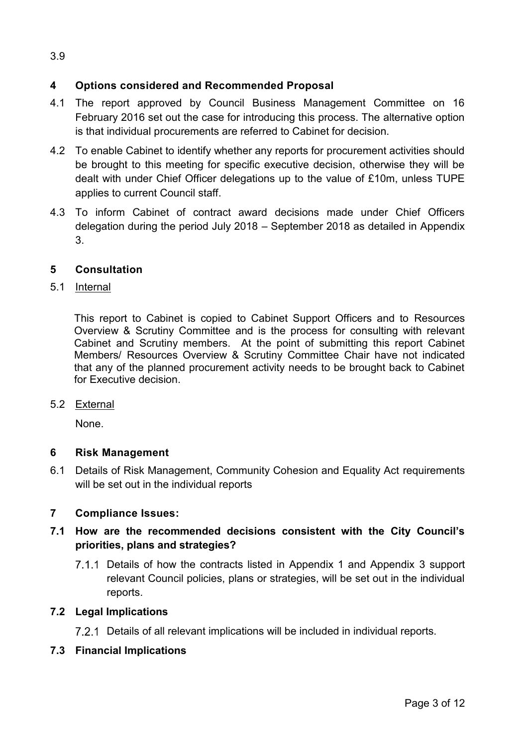## **4 Options considered and Recommended Proposal**

- 4.1 The report approved by Council Business Management Committee on 16 February 2016 set out the case for introducing this process. The alternative option is that individual procurements are referred to Cabinet for decision.
- 4.2 To enable Cabinet to identify whether any reports for procurement activities should be brought to this meeting for specific executive decision, otherwise they will be dealt with under Chief Officer delegations up to the value of £10m, unless TUPE applies to current Council staff.
- 4.3 To inform Cabinet of contract award decisions made under Chief Officers delegation during the period July 2018 – September 2018 as detailed in Appendix 3.

## **5 Consultation**

#### 5.1 Internal

This report to Cabinet is copied to Cabinet Support Officers and to Resources Overview & Scrutiny Committee and is the process for consulting with relevant Cabinet and Scrutiny members. At the point of submitting this report Cabinet Members/ Resources Overview & Scrutiny Committee Chair have not indicated that any of the planned procurement activity needs to be brought back to Cabinet for Executive decision.

5.2 External

None.

## **6 Risk Management**

6.1 Details of Risk Management, Community Cohesion and Equality Act requirements will be set out in the individual reports

## **7 Compliance Issues:**

## **7.1 How are the recommended decisions consistent with the City Council's priorities, plans and strategies?**

7.1.1 Details of how the contracts listed in Appendix 1 and Appendix 3 support relevant Council policies, plans or strategies, will be set out in the individual reports.

## **7.2 Legal Implications**

Details of all relevant implications will be included in individual reports.

## **7.3 Financial Implications**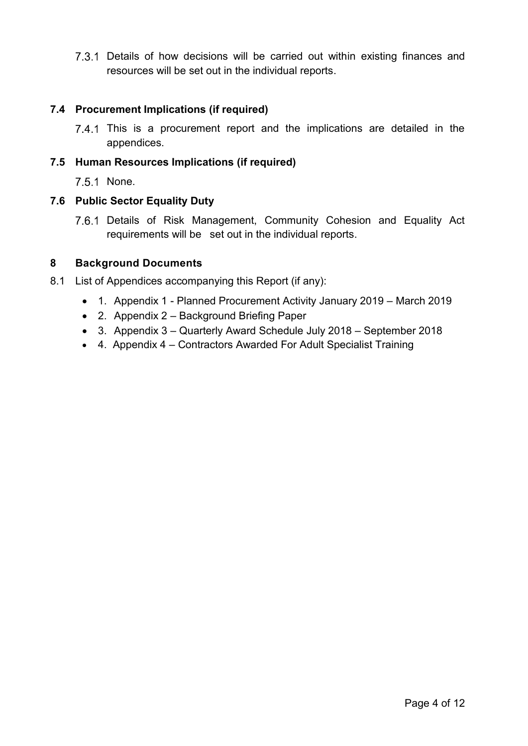7.3.1 Details of how decisions will be carried out within existing finances and resources will be set out in the individual reports.

#### **7.4 Procurement Implications (if required)**

 This is a procurement report and the implications are detailed in the appendices.

#### **7.5 Human Resources Implications (if required)**

7.5.1 None.

#### **7.6 Public Sector Equality Duty**

7.6.1 Details of Risk Management, Community Cohesion and Equality Act requirements will be set out in the individual reports.

#### **8 Background Documents**

- 8.1 List of Appendices accompanying this Report (if any):
	- 1. Appendix 1 Planned Procurement Activity January 2019 March 2019
	- 2. Appendix 2 Background Briefing Paper
	- 3. Appendix 3 Quarterly Award Schedule July 2018 September 2018
	- 4. Appendix 4 Contractors Awarded For Adult Specialist Training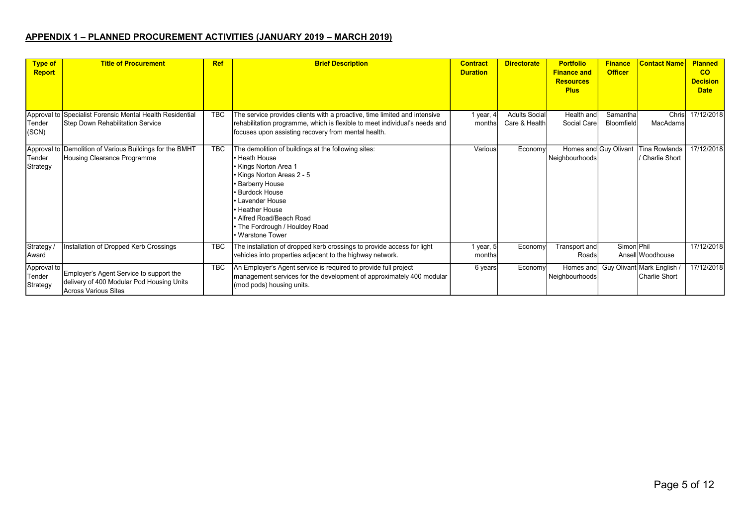#### **APPENDIX 1 – PLANNED PROCUREMENT ACTIVITIES (JANUARY 2019 – MARCH 2019)**

| <b>Type of</b><br><b>Report</b>   | <b>Title of Procurement</b>                                                                                         | <b>Ref</b> | <b>Brief Description</b>                                                                                                                                                                                                                                                                                  | <b>Contract</b><br><b>Duration</b> | <b>Directorate</b>                    | <b>Portfolio</b><br><b>Finance and</b><br><b>Resources</b><br><b>Plus</b> | <b>Finance</b><br><b>Officer</b> | <b>Contact Name</b>                                        | <b>Planned</b><br><b>CO</b><br><b>Decision</b><br><b>Date</b> |
|-----------------------------------|---------------------------------------------------------------------------------------------------------------------|------------|-----------------------------------------------------------------------------------------------------------------------------------------------------------------------------------------------------------------------------------------------------------------------------------------------------------|------------------------------------|---------------------------------------|---------------------------------------------------------------------------|----------------------------------|------------------------------------------------------------|---------------------------------------------------------------|
| Tender<br>(SCN)                   | Approval to Specialist Forensic Mental Health Residential<br>Step Down Rehabilitation Service                       | <b>TBC</b> | The service provides clients with a proactive, time limited and intensive<br>rehabilitation programme, which is flexible to meet individual's needs and<br>focuses upon assisting recovery from mental health.                                                                                            | 1 year, $4$<br>months              | <b>Adults Social</b><br>Care & Health | Health and<br>Social Care                                                 | Samanthal<br><b>Bloomfield</b>   | Chris<br>MacAdams                                          | 17/12/2018                                                    |
| Tender<br>Strategy                | Approval to Demolition of Various Buildings for the BMHT<br>Housing Clearance Programme                             | TBC        | The demolition of buildings at the following sites:<br><b>Heath House</b><br>Kings Norton Area 1<br>Kings Norton Areas 2 - 5<br><b>Barberry House</b><br><b>Burdock House</b><br>Lavender House<br><b>Heather House</b><br>• Alfred Road/Beach Road<br>• The Fordrough / Houldey Road<br>• Warstone Tower | Various                            | Economy                               | Homes and Guy Olivant<br>Neighbourhoods                                   |                                  | <b>Tina Rowlands</b><br>/ Charlie Short                    | 17/12/2018                                                    |
| Strategy /<br>Award               | Installation of Dropped Kerb Crossings                                                                              | <b>TBC</b> | The installation of dropped kerb crossings to provide access for light<br>vehicles into properties adjacent to the highway network.                                                                                                                                                                       | 1 year, 5 <br>months               | Economy                               | Transport and<br>Roads                                                    | Simon Phil                       | AnsellWoodhouse                                            | 17/12/2018                                                    |
| Approval to<br>Tender<br>Strategy | Employer's Agent Service to support the<br>delivery of 400 Modular Pod Housing Units<br><b>Across Various Sites</b> | <b>TBC</b> | An Employer's Agent service is required to provide full project<br>management services for the development of approximately 400 modular<br>(mod pods) housing units.                                                                                                                                      | 6 years                            | Economy                               | Neighbourhoods                                                            |                                  | Homes and Guy Olivant Mark English<br><b>Charlie Short</b> | 17/12/2018                                                    |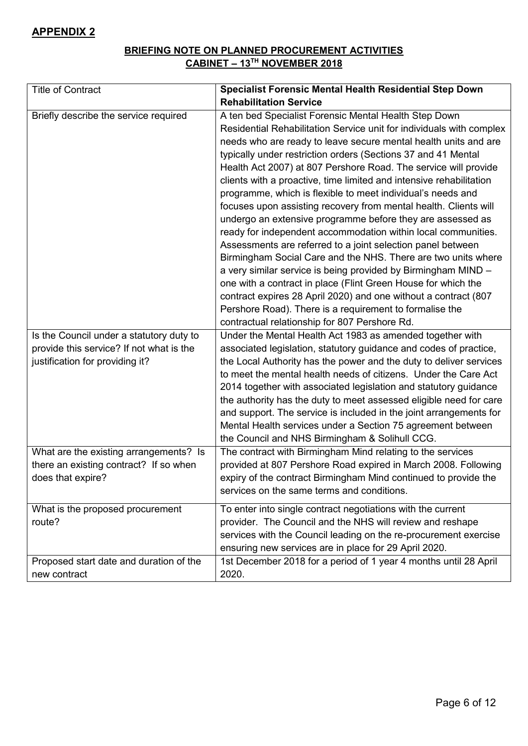#### **BRIEFING NOTE ON PLANNED PROCUREMENT ACTIVITIES CABINET – 13TH NOVEMBER 2018**

| <b>Title of Contract</b>                 | <b>Specialist Forensic Mental Health Residential Step Down</b>       |
|------------------------------------------|----------------------------------------------------------------------|
|                                          | <b>Rehabilitation Service</b>                                        |
| Briefly describe the service required    | A ten bed Specialist Forensic Mental Health Step Down                |
|                                          | Residential Rehabilitation Service unit for individuals with complex |
|                                          | needs who are ready to leave secure mental health units and are      |
|                                          | typically under restriction orders (Sections 37 and 41 Mental        |
|                                          | Health Act 2007) at 807 Pershore Road. The service will provide      |
|                                          | clients with a proactive, time limited and intensive rehabilitation  |
|                                          | programme, which is flexible to meet individual's needs and          |
|                                          | focuses upon assisting recovery from mental health. Clients will     |
|                                          | undergo an extensive programme before they are assessed as           |
|                                          | ready for independent accommodation within local communities.        |
|                                          | Assessments are referred to a joint selection panel between          |
|                                          | Birmingham Social Care and the NHS. There are two units where        |
|                                          | a very similar service is being provided by Birmingham MIND -        |
|                                          | one with a contract in place (Flint Green House for which the        |
|                                          | contract expires 28 April 2020) and one without a contract (807      |
|                                          | Pershore Road). There is a requirement to formalise the              |
|                                          | contractual relationship for 807 Pershore Rd.                        |
| Is the Council under a statutory duty to | Under the Mental Health Act 1983 as amended together with            |
| provide this service? If not what is the | associated legislation, statutory guidance and codes of practice,    |
| justification for providing it?          | the Local Authority has the power and the duty to deliver services   |
|                                          | to meet the mental health needs of citizens. Under the Care Act      |
|                                          | 2014 together with associated legislation and statutory guidance     |
|                                          | the authority has the duty to meet assessed eligible need for care   |
|                                          | and support. The service is included in the joint arrangements for   |
|                                          | Mental Health services under a Section 75 agreement between          |
|                                          | the Council and NHS Birmingham & Solihull CCG.                       |
| What are the existing arrangements? Is   | The contract with Birmingham Mind relating to the services           |
| there an existing contract? If so when   | provided at 807 Pershore Road expired in March 2008. Following       |
| does that expire?                        | expiry of the contract Birmingham Mind continued to provide the      |
|                                          | services on the same terms and conditions.                           |
| What is the proposed procurement         | To enter into single contract negotiations with the current          |
| route?                                   | provider. The Council and the NHS will review and reshape            |
|                                          | services with the Council leading on the re-procurement exercise     |
|                                          | ensuring new services are in place for 29 April 2020.                |
| Proposed start date and duration of the  | 1st December 2018 for a period of 1 year 4 months until 28 April     |
| new contract                             | 2020.                                                                |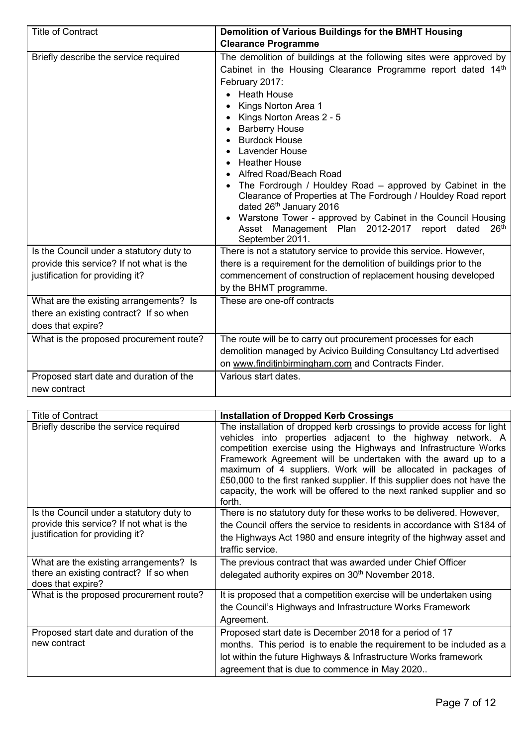| <b>Title of Contract</b>                                                                                                | Demolition of Various Buildings for the BMHT Housing                                                                                                                                                                                                                                                                                                                                                                                                                                                                                                                                                                                                                  |
|-------------------------------------------------------------------------------------------------------------------------|-----------------------------------------------------------------------------------------------------------------------------------------------------------------------------------------------------------------------------------------------------------------------------------------------------------------------------------------------------------------------------------------------------------------------------------------------------------------------------------------------------------------------------------------------------------------------------------------------------------------------------------------------------------------------|
|                                                                                                                         | <b>Clearance Programme</b>                                                                                                                                                                                                                                                                                                                                                                                                                                                                                                                                                                                                                                            |
| Briefly describe the service required                                                                                   | The demolition of buildings at the following sites were approved by<br>Cabinet in the Housing Clearance Programme report dated 14th<br>February 2017:<br><b>Heath House</b><br>Kings Norton Area 1<br>Kings Norton Areas 2 - 5<br><b>Barberry House</b><br><b>Burdock House</b><br>Lavender House<br><b>Heather House</b><br>Alfred Road/Beach Road<br>The Fordrough / Houldey Road – approved by Cabinet in the<br>Clearance of Properties at The Fordrough / Houldey Road report<br>dated 26th January 2016<br>• Warstone Tower - approved by Cabinet in the Council Housing<br>Asset Management Plan 2012-2017 report dated<br>26 <sup>th</sup><br>September 2011. |
| Is the Council under a statutory duty to<br>provide this service? If not what is the<br>justification for providing it? | There is not a statutory service to provide this service. However,<br>there is a requirement for the demolition of buildings prior to the<br>commencement of construction of replacement housing developed<br>by the BHMT programme.                                                                                                                                                                                                                                                                                                                                                                                                                                  |
| What are the existing arrangements? Is<br>there an existing contract? If so when<br>does that expire?                   | These are one-off contracts                                                                                                                                                                                                                                                                                                                                                                                                                                                                                                                                                                                                                                           |
| What is the proposed procurement route?                                                                                 | The route will be to carry out procurement processes for each<br>demolition managed by Acivico Building Consultancy Ltd advertised<br>on www.finditinbirmingham.com and Contracts Finder.                                                                                                                                                                                                                                                                                                                                                                                                                                                                             |
| Proposed start date and duration of the<br>new contract                                                                 | Various start dates.                                                                                                                                                                                                                                                                                                                                                                                                                                                                                                                                                                                                                                                  |

| <b>Title of Contract</b>                                                                                                | <b>Installation of Dropped Kerb Crossings</b>                                                                                                                                                                                                                                                                                                                                                                                                                                                              |
|-------------------------------------------------------------------------------------------------------------------------|------------------------------------------------------------------------------------------------------------------------------------------------------------------------------------------------------------------------------------------------------------------------------------------------------------------------------------------------------------------------------------------------------------------------------------------------------------------------------------------------------------|
| Briefly describe the service required                                                                                   | The installation of dropped kerb crossings to provide access for light<br>vehicles into properties adjacent to the highway network. A<br>competition exercise using the Highways and Infrastructure Works<br>Framework Agreement will be undertaken with the award up to a<br>maximum of 4 suppliers. Work will be allocated in packages of<br>£50,000 to the first ranked supplier. If this supplier does not have the<br>capacity, the work will be offered to the next ranked supplier and so<br>forth. |
| Is the Council under a statutory duty to<br>provide this service? If not what is the<br>justification for providing it? | There is no statutory duty for these works to be delivered. However,<br>the Council offers the service to residents in accordance with S184 of<br>the Highways Act 1980 and ensure integrity of the highway asset and<br>traffic service.                                                                                                                                                                                                                                                                  |
| What are the existing arrangements? Is<br>there an existing contract? If so when<br>does that expire?                   | The previous contract that was awarded under Chief Officer<br>delegated authority expires on 30 <sup>th</sup> November 2018.                                                                                                                                                                                                                                                                                                                                                                               |
| What is the proposed procurement route?                                                                                 | It is proposed that a competition exercise will be undertaken using<br>the Council's Highways and Infrastructure Works Framework<br>Agreement.                                                                                                                                                                                                                                                                                                                                                             |
| Proposed start date and duration of the<br>new contract                                                                 | Proposed start date is December 2018 for a period of 17<br>months. This period is to enable the requirement to be included as a<br>lot within the future Highways & Infrastructure Works framework<br>agreement that is due to commence in May 2020                                                                                                                                                                                                                                                        |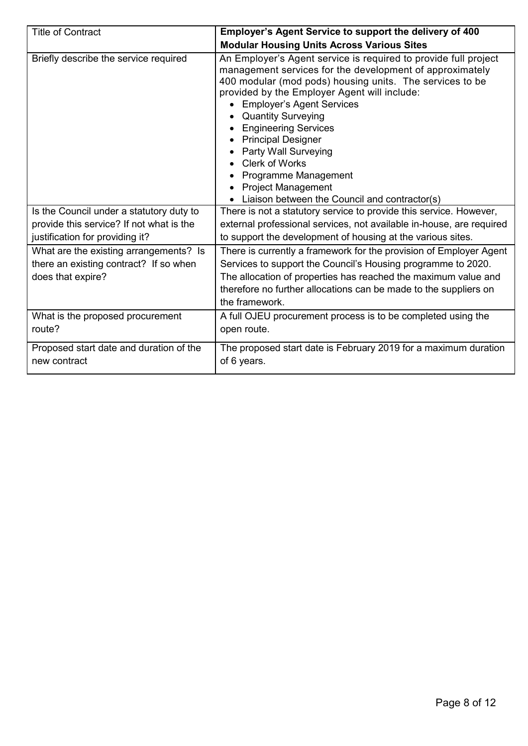| <b>Title of Contract</b>                                                                              | Employer's Agent Service to support the delivery of 400                                                                                                                                                                                                                                                                                                                                                                                                                                                                     |
|-------------------------------------------------------------------------------------------------------|-----------------------------------------------------------------------------------------------------------------------------------------------------------------------------------------------------------------------------------------------------------------------------------------------------------------------------------------------------------------------------------------------------------------------------------------------------------------------------------------------------------------------------|
|                                                                                                       | <b>Modular Housing Units Across Various Sites</b>                                                                                                                                                                                                                                                                                                                                                                                                                                                                           |
| Briefly describe the service required                                                                 | An Employer's Agent service is required to provide full project<br>management services for the development of approximately<br>400 modular (mod pods) housing units. The services to be<br>provided by the Employer Agent will include:<br><b>Employer's Agent Services</b><br><b>Quantity Surveying</b><br><b>Engineering Services</b><br><b>Principal Designer</b><br>Party Wall Surveying<br><b>Clerk of Works</b><br>Programme Management<br><b>Project Management</b><br>Liaison between the Council and contractor(s) |
| Is the Council under a statutory duty to                                                              | There is not a statutory service to provide this service. However,                                                                                                                                                                                                                                                                                                                                                                                                                                                          |
| provide this service? If not what is the<br>justification for providing it?                           | external professional services, not available in-house, are required<br>to support the development of housing at the various sites.                                                                                                                                                                                                                                                                                                                                                                                         |
| What are the existing arrangements? Is<br>there an existing contract? If so when<br>does that expire? | There is currently a framework for the provision of Employer Agent<br>Services to support the Council's Housing programme to 2020.<br>The allocation of properties has reached the maximum value and<br>therefore no further allocations can be made to the suppliers on<br>the framework.                                                                                                                                                                                                                                  |
| What is the proposed procurement<br>route?                                                            | A full OJEU procurement process is to be completed using the<br>open route.                                                                                                                                                                                                                                                                                                                                                                                                                                                 |
| Proposed start date and duration of the<br>new contract                                               | The proposed start date is February 2019 for a maximum duration<br>of 6 years.                                                                                                                                                                                                                                                                                                                                                                                                                                              |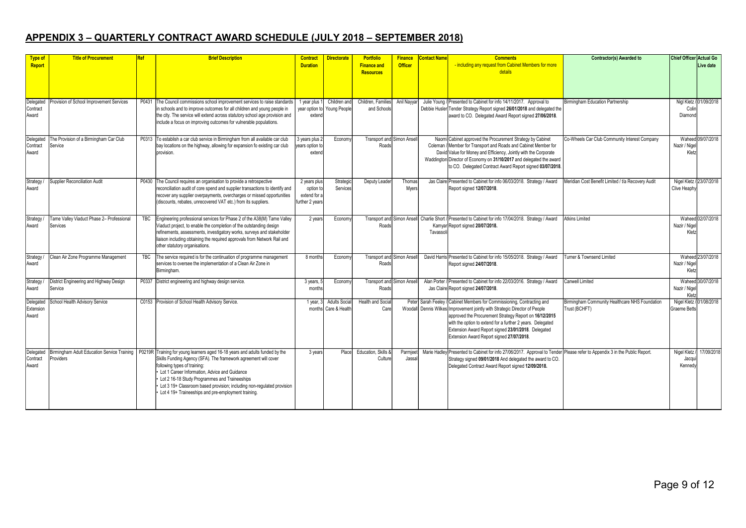## **APPENDIX 3 – QUARTERLY CONTRACT AWARD SCHEDULE (JULY 2018 – SEPTEMBER 2018)**

| <b>Type of</b>     | <b>Title of Procurement</b>                 | <b>Ref</b> | <b>Brief Description</b>                                                                                                                         | <b>Contract</b> | <b>Directorate</b>   | <b>Portfolio</b>                         | <b>Finance</b> | <b>Contact Name</b> | <b>Comments</b>                                                                                                                       | <b>Contractor(s) Awarded to</b>                    | <b>Chief Officer Actual Go</b> |                         |
|--------------------|---------------------------------------------|------------|--------------------------------------------------------------------------------------------------------------------------------------------------|-----------------|----------------------|------------------------------------------|----------------|---------------------|---------------------------------------------------------------------------------------------------------------------------------------|----------------------------------------------------|--------------------------------|-------------------------|
| <b>Report</b>      |                                             |            |                                                                                                                                                  | <b>Duration</b> |                      | <b>Finance and</b><br><b>Resources</b>   | <b>Officer</b> |                     | - including any request from Cabinet Members for more<br>details                                                                      |                                                    |                                | Live date               |
|                    |                                             |            |                                                                                                                                                  |                 |                      |                                          |                |                     |                                                                                                                                       |                                                    |                                |                         |
| Delegated          | Provision of School Improvement Services    | P0431      | The Council commissions school improvement services to raise standards                                                                           | 1 year plus 1   | Children and         | Children, Families                       | Anil Nayya     |                     | Julie Young / Presented to Cabinet for info 14/11/2017. Approval to                                                                   | Birmingham Education Partnership                   |                                | Nigl Kletz / 01/09/2018 |
| Contract           |                                             |            | in schools and to improve outcomes for all children and young people in                                                                          | vear option to  | Young People         | and Schools                              |                |                     | Debbie Husler Tender Strategy Report signed 26/01/2018 and delegated the                                                              |                                                    | Colir                          |                         |
| Award              |                                             |            | the city. The service will extend across statutory school age provision and<br>include a focus on improving outcomes for vulnerable populations. | extend          |                      |                                          |                |                     | award to CO. Delegated Award Report signed 27/06/2018.                                                                                |                                                    | Diamond                        |                         |
| Delegated          | The Provision of a Birmingham Car Club      |            | P0313 To establish a car club service in Birmingham from all available car club                                                                  | 3 years plus 2  | Economy              | Transport and Simon Ansel                |                |                     | Naomi Cabinet approved the Procurement Strategy by Cabinet                                                                            | Co-Wheels Car Club Community Interest Company      |                                | Waheed 09/07/2018       |
| Contract           | Service                                     |            | bay locations on the highway, allowing for expansion fo existing car club                                                                        | ears option to  |                      | Roads                                    |                |                     | Coleman / Member for Transport and Roads and Cabinet Member for                                                                       |                                                    | Nazir / Nige                   |                         |
| Award              |                                             |            | provision.                                                                                                                                       | extend          |                      |                                          |                |                     | David Value for Money and Efficiency, Jointly with the Corporate                                                                      |                                                    | Kletz                          |                         |
|                    |                                             |            |                                                                                                                                                  |                 |                      |                                          |                |                     | Waddington Director of Economy on 31/10/2017 and delegated the award                                                                  |                                                    |                                |                         |
|                    |                                             |            |                                                                                                                                                  |                 |                      |                                          |                |                     | to CO. Delegated Contract Award Report signed 03/07/2018.                                                                             |                                                    |                                |                         |
| Strategy           | Supplier Reconciliation Audit               |            | P0430 The Council requires an organisation to provide a retrospective                                                                            | 2 years plus    | Strategio            | Deputy Leader                            | Thoma:         |                     | Jas Claire Presented to Cabinet for info 06/03/2018. Strategy / Award                                                                 | Meridian Cost Benefit Limited / t/a Recovery Audit | Nigel Kletz / 23/07/2018       |                         |
| Award              |                                             |            | reconciliation audit of core spend and supplier transactions to identify and                                                                     | option to       | Services             |                                          | Myers          |                     | Report signed 12/07/2018.                                                                                                             |                                                    | Clive Heaph                    |                         |
|                    |                                             |            | recover any supplier overpayments, overcharges or missed opportunities                                                                           | extend for a    |                      |                                          |                |                     |                                                                                                                                       |                                                    |                                |                         |
|                    |                                             |            | (discounts, rebates, unrecovered VAT etc.) from its suppliers.                                                                                   | further 2 years |                      |                                          |                |                     |                                                                                                                                       |                                                    |                                |                         |
| Strategy           | Tame Valley Viaduct Phase 2- Professional   | TBC        | Engineering professional services for Phase 2 of the A38(M) Tame Valley                                                                          | 2 years         | Economy              | <b>Transport and Simon Ansell</b>        |                |                     | Charlie Short / Presented to Cabinet for info 17/04/2018. Strategy / Award                                                            | <b>Atkins Limited</b>                              |                                | Waheed 02/07/2018       |
| Award              | Services                                    |            | Viaduct project, to enable the completion of the outstanding design                                                                              |                 |                      | Roads                                    |                |                     | Kamyar Report signed 20/07/2018.                                                                                                      |                                                    | Nazir / Nigel                  |                         |
|                    |                                             |            | refinements, assessments, investigatory works, surveys and stakeholder                                                                           |                 |                      |                                          |                | Tavassol            |                                                                                                                                       |                                                    | Kletz                          |                         |
|                    |                                             |            | liaison including obtaining the required approvals from Network Rail and                                                                         |                 |                      |                                          |                |                     |                                                                                                                                       |                                                    |                                |                         |
|                    |                                             |            | other statutory organisations.                                                                                                                   |                 |                      |                                          |                |                     |                                                                                                                                       |                                                    |                                |                         |
| Strategy<br>Award  | Clean Air Zone Programme Management         | TBC        | The service required is for the continuation of programme management<br>services to oversee the implementation of a Clean Air Zone in            | 8 months        | Econom               | <b>Transport and Simon Anse</b><br>Roads |                |                     | David Harris Presented to Cabinet for info 15/05/2018. Strategy / Award                                                               | <b>Furner &amp; Townsend Limited</b>               | Nazir / Nigel                  | Waheed 23/07/2018       |
|                    |                                             |            | Birmingham.                                                                                                                                      |                 |                      |                                          |                |                     | Report signed 24/07/2018.                                                                                                             |                                                    | Kletz                          |                         |
| Strategy           | District Engineering and Highway Design     |            | P0337 District engineering and highway design service.                                                                                           | 3 years,        | Econom               | Transport and Simon Anse                 |                |                     | Alan Porter / Presented to Cabinet for info 22/03/2016. Strategy / Award                                                              | <b>Canwell Limited</b>                             |                                | Waheed 30/07/2018       |
| Award              | Service                                     |            |                                                                                                                                                  | months          |                      | Roads                                    |                |                     | Jas Claire Report signed 24/07/2018.                                                                                                  |                                                    | Nazir / Nigel                  |                         |
|                    |                                             |            |                                                                                                                                                  |                 |                      |                                          |                |                     |                                                                                                                                       |                                                    | Kletz                          |                         |
| Delegated          | School Health Advisory Service              |            | C0153 Provision of School Health Advisory Service.                                                                                               | 1 year,         | <b>Adults Socia</b>  | Health and Socia                         | Peter          | Sarah Feelev        | / Cabinet Members for Commissioning, Contracting and                                                                                  | Birmingham Community Healthcare NHS Foundation     | Nigel Kletz                    | 01/08/2018              |
| Extension<br>Award |                                             |            |                                                                                                                                                  |                 | months Care & Health | Care                                     |                |                     | Woodall Dennis Wilkes Improvement jointly with Strategic Director of People<br>approved the Procurement Strategy Report on 16/12/2015 | Frust (BCHFT)                                      | <b>Graeme Betts</b>            |                         |
|                    |                                             |            |                                                                                                                                                  |                 |                      |                                          |                |                     | with the option to extend for a further 2 years. Delegated                                                                            |                                                    |                                |                         |
|                    |                                             |            |                                                                                                                                                  |                 |                      |                                          |                |                     | Extension Award Report signed 23/01/2018. Delegated                                                                                   |                                                    |                                |                         |
|                    |                                             |            |                                                                                                                                                  |                 |                      |                                          |                |                     | Extension Award Report signed 27/07/2018.                                                                                             |                                                    |                                |                         |
|                    |                                             |            |                                                                                                                                                  |                 |                      |                                          |                |                     |                                                                                                                                       |                                                    |                                |                         |
| Delegated          | Birmingham Adult Education Service Training |            | P0219R Training for young learners aged 16-18 years and adults funded by the                                                                     | 3 years         | Place                | Education, Skills &                      | Parmjee        |                     | Marie Hadley Presented to Cabinet for info 27/06/2017. Approval to Tender Please refer to Appendix 3 in the Public Report.            |                                                    | Nigel Kletz                    | 17/09/2018              |
| Contract           | Providers                                   |            | Skills Funding Agency (SFA). The framework agreement will cover                                                                                  |                 |                      | Culture                                  | Jassa          |                     | Strategy signed 09/01/2018 And delegated the award to CO.                                                                             |                                                    | Jacqu                          |                         |
| Award              |                                             |            | following types of training:                                                                                                                     |                 |                      |                                          |                |                     | Delegated Contract Award Report signed 12/09/2018.                                                                                    |                                                    | Kennedy                        |                         |
|                    |                                             |            | Lot 1 Career Information, Advice and Guidance<br>Lot 2 16-18 Study Programmes and Traineeships                                                   |                 |                      |                                          |                |                     |                                                                                                                                       |                                                    |                                |                         |
|                    |                                             |            | • Lot 3 19+ Classroom based provision; including non-regulated provision                                                                         |                 |                      |                                          |                |                     |                                                                                                                                       |                                                    |                                |                         |
|                    |                                             |            | Lot 4 19+ Traineeships and pre-employment training.                                                                                              |                 |                      |                                          |                |                     |                                                                                                                                       |                                                    |                                |                         |
|                    |                                             |            |                                                                                                                                                  |                 |                      |                                          |                |                     |                                                                                                                                       |                                                    |                                |                         |
|                    |                                             |            |                                                                                                                                                  |                 |                      |                                          |                |                     |                                                                                                                                       |                                                    |                                |                         |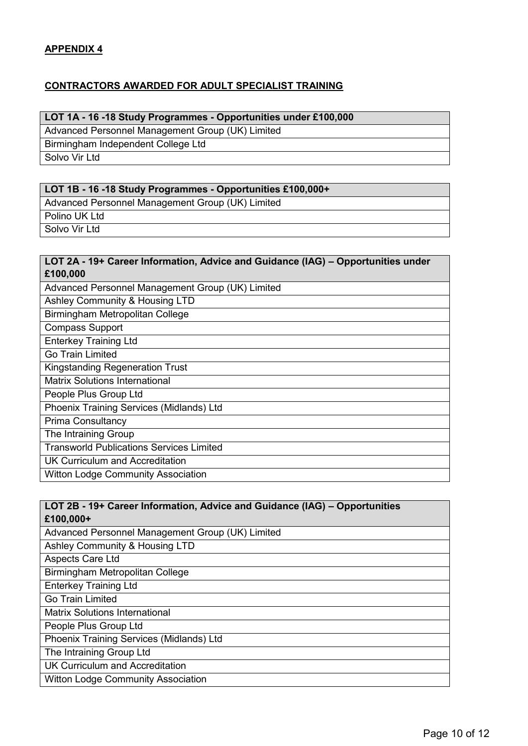#### **CONTRACTORS AWARDED FOR ADULT SPECIALIST TRAINING**

#### **LOT 1A - 16 -18 Study Programmes - Opportunities under £100,000**

Advanced Personnel Management Group (UK) Limited

Birmingham Independent College Ltd

Solvo Vir Ltd

#### **LOT 1B - 16 -18 Study Programmes - Opportunities £100,000+**

Advanced Personnel Management Group (UK) Limited

Polino UK Ltd

Solvo Vir Ltd

#### **LOT 2A - 19+ Career Information, Advice and Guidance (IAG) – Opportunities under £100,000**

| Advanced Personnel Management Group (UK) Limited |
|--------------------------------------------------|
| Ashley Community & Housing LTD                   |
| Birmingham Metropolitan College                  |
| <b>Compass Support</b>                           |
| <b>Enterkey Training Ltd</b>                     |
| Go Train Limited                                 |
| <b>Kingstanding Regeneration Trust</b>           |
| <b>Matrix Solutions International</b>            |
| People Plus Group Ltd                            |
| Phoenix Training Services (Midlands) Ltd         |
| <b>Prima Consultancy</b>                         |
| The Intraining Group                             |
| <b>Transworld Publications Services Limited</b>  |
| <b>UK Curriculum and Accreditation</b>           |
| <b>Witton Lodge Community Association</b>        |
|                                                  |

#### **LOT 2B - 19+ Career Information, Advice and Guidance (IAG) – Opportunities £100,000+**

Advanced Personnel Management Group (UK) Limited

Ashley Community & Housing LTD

Aspects Care Ltd

Birmingham Metropolitan College

Enterkey Training Ltd

Go Train Limited

Matrix Solutions International

People Plus Group Ltd

Phoenix Training Services (Midlands) Ltd

The Intraining Group Ltd

UK Curriculum and Accreditation

Witton Lodge Community Association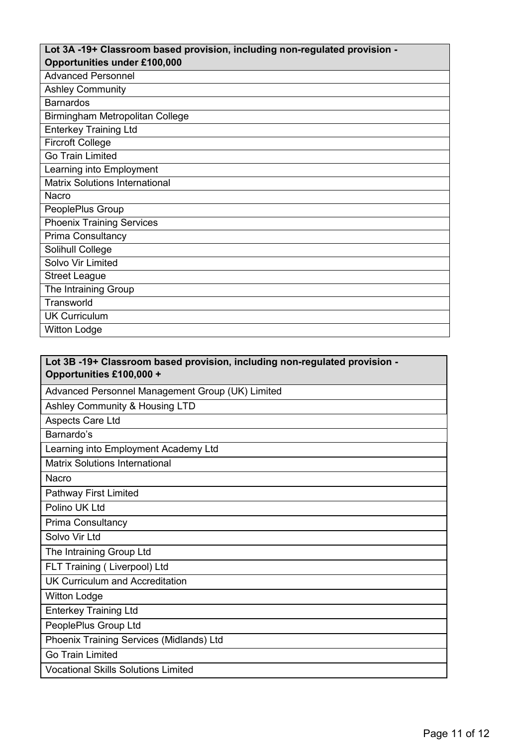#### **Lot 3A -19+ Classroom based provision, including non-regulated provision - Opportunities under £100,000**

| Lot 3B -19+ Classroom based provision, including non-regulated provision -<br>Opportunities £100,000 + |
|--------------------------------------------------------------------------------------------------------|
| Advanced Personnel Management Group (UK) Limited                                                       |
| Ashley Community & Housing LTD                                                                         |
| Aspects Care Ltd                                                                                       |
| Barnardo's                                                                                             |
| Learning into Employment Academy Ltd                                                                   |
| <b>Matrix Solutions International</b>                                                                  |
| Nacro                                                                                                  |
| Pathway First Limited                                                                                  |
| Polino UK Ltd                                                                                          |
| Prima Consultancy                                                                                      |
| Solvo Vir Ltd                                                                                          |
| The Intraining Group Ltd                                                                               |
| FLT Training (Liverpool) Ltd                                                                           |
| UK Curriculum and Accreditation                                                                        |
| <b>Witton Lodge</b>                                                                                    |
| <b>Enterkey Training Ltd</b>                                                                           |
| PeoplePlus Group Ltd                                                                                   |
| Phoenix Training Services (Midlands) Ltd                                                               |
| <b>Go Train Limited</b>                                                                                |
| <b>Vocational Skills Solutions Limited</b>                                                             |